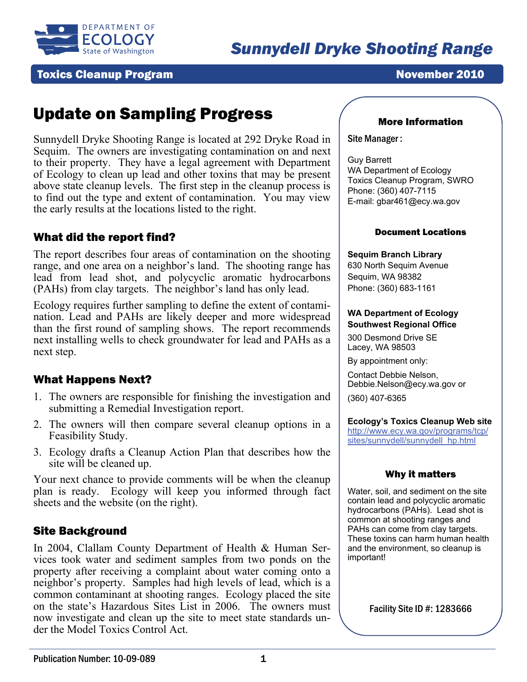

# **Toxics Cleanup Program November 2010**

# Update on Sampling Progress

Sunnydell Dryke Shooting Range is located at 292 Dryke Road in Sequim. The owners are investigating contamination on and next to their property. They have a legal agreement with Department of Ecology to clean up lead and other toxins that may be present above state cleanup levels. The first step in the cleanup process is to find out the type and extent of contamination. You may view the early results at the locations listed to the right.

# What did the report find?

The report describes four areas of contamination on the shooting range, and one area on a neighbor's land. The shooting range has lead from lead shot, and polycyclic aromatic hydrocarbons (PAHs) from clay targets. The neighbor's land has only lead.

Ecology requires further sampling to define the extent of contamination. Lead and PAHs are likely deeper and more widespread than the first round of sampling shows. The report recommends next installing wells to check groundwater for lead and PAHs as a next step.

# What Happens Next?

- 1. The owners are responsible for finishing the investigation and submitting a Remedial Investigation report.
- 2. The owners will then compare several cleanup options in a Feasibility Study.
- 3. Ecology drafts a Cleanup Action Plan that describes how the site will be cleaned up.

Your next chance to provide comments will be when the cleanup plan is ready. Ecology will keep you informed through fact sheets and the website (on the right).

## Site Background

In 2004, Clallam County Department of Health & Human Services took water and sediment samples from two ponds on the property after receiving a complaint about water coming onto a neighbor's property. Samples had high levels of lead, which is a common contaminant at shooting ranges. Ecology placed the site on the state's Hazardous Sites List in 2006. The owners must now investigate and clean up the site to meet state standards under the Model Toxics Control Act.

### More Information

Site Manager :

Guy Barrett WA Department of Ecology Toxics Cleanup Program, SWRO Phone: (360) 407-7115 E-mail: gbar461@ecy.wa.gov

#### Document Locations

#### **Sequim Branch Library**

630 North Sequim Avenue Sequim, WA 98382 Phone: (360) 683-1161

#### **WA Department of Ecology Southwest Regional Office**

300 Desmond Drive SE Lacey, WA 98503

By appointment only:

Contact Debbie Nelson, Debbie.Nelson@ecy.wa.gov or (360) 407-6365

**Ecology's Toxics Cleanup Web site** [http://www.ecy.wa.gov/programs/tcp/](http://www.ecy.wa.gov/programs/tcp/sites/sunnydell/sunnydell_hp.html) [sites/sunnydell/sunnydell\\_hp.html](http://www.ecy.wa.gov/programs/tcp/sites/sunnydell/sunnydell_hp.html)

### Why it matters

Water, soil, and sediment on the site contain lead and polycyclic aromatic hydrocarbons (PAHs). Lead shot is common at shooting ranges and PAHs can come from clay targets. These toxins can harm human health and the environment, so cleanup is important!

Facility Site ID #: 1283666